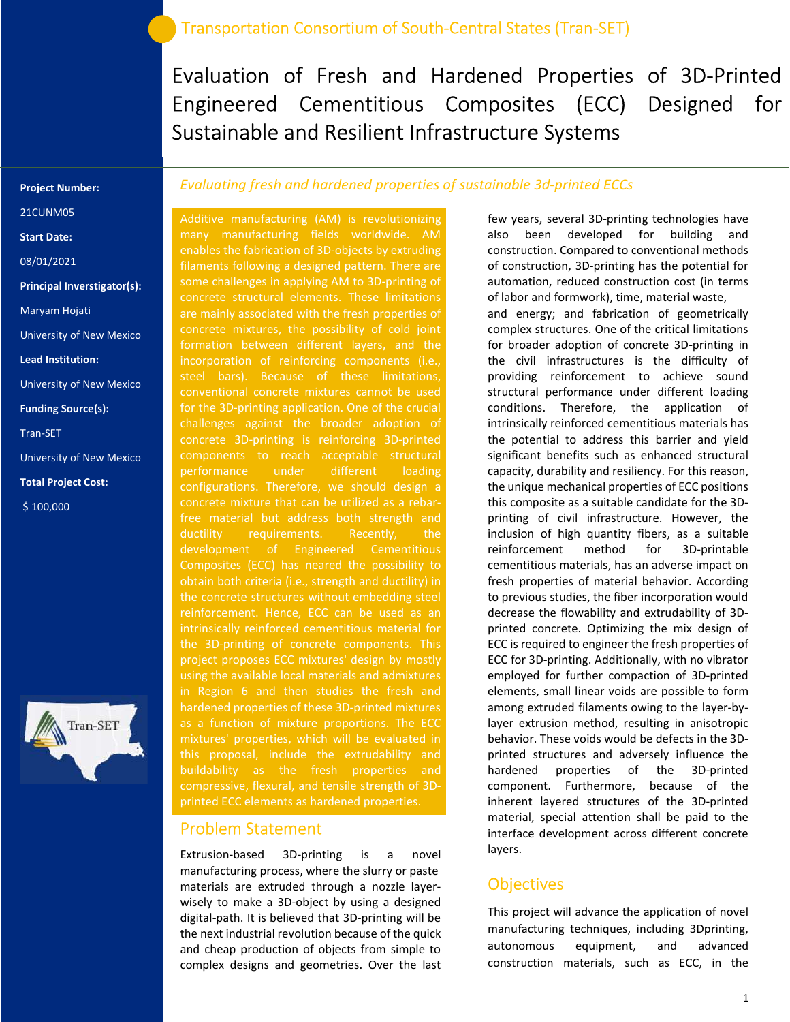Evaluation of Fresh and Hardened Properties of 3D-Printed Engineered Cementitious Composites (ECC) Designed for Sustainable and Resilient Infrastructure Systems

#### Project Number:

21CUNM05

Start Date:

08/01/2021

Principal Inverstigator(s):

Maryam Hojati

University of New Mexico

Lead Institution:

University of New Mexico

Funding Source(s):

Tran-SET

University of New Mexico

Total Project Cost:

\$ 100,000



### Evaluating fresh and hardened properties of sustainable 3d-printed ECCs

Additive manufacturing (AM) is revolutionizing many manufacturing fields worldwide. AM enables the fabrication of 3D-objects by extruding filaments following a designed pattern. There are some challenges in applying AM to 3D-printing of are mainly associated with the fresh properties of concrete mixtures, the possibility of cold joint formation between different layers, and the incorporation of reinforcing components (i.e., conventional concrete mixtures cannot be used for the 3D-printing application. One of the crucial challenges against the broader adoption of concrete 3D-printing is reinforcing 3D-printed components to reach acceptable structural performance under different loading configurations. Therefore, we should design a free material but address both strength and ductility requirements. Recently, the development of Engineered Cementitious Composites (ECC) has neared the possibility to obtain both criteria (i.e., strength and ductility) in the concrete structures without embedding steel reinforcement. Hence, ECC can be used as an intrinsically reinforced cementitious material for the 3D-printing of concrete components. This project proposes ECC mixtures' design by mostly using the available local materials and admixtures in Region 6 and then studies the fresh and hardened properties of these 3D-printed mixtures mixtures' properties, which will be evaluated in this proposal, include the extrudability and compressive, flexural, and tensile strength of 3D-

### Problem Statement

Extrusion-based 3D-printing is a novel manufacturing process, where the slurry or paste materials are extruded through a nozzle layerwisely to make a 3D-object by using a designed digital-path. It is believed that 3D-printing will be the next industrial revolution because of the quick and cheap production of objects from simple to complex designs and geometries. Over the last few years, several 3D-printing technologies have also been developed for building and construction. Compared to conventional methods of construction, 3D-printing has the potential for automation, reduced construction cost (in terms of labor and formwork), time, material waste, and energy; and fabrication of geometrically complex structures. One of the critical limitations for broader adoption of concrete 3D-printing in the civil infrastructures is the difficulty of providing reinforcement to achieve sound structural performance under different loading conditions. Therefore, the application of intrinsically reinforced cementitious materials has the potential to address this barrier and yield significant benefits such as enhanced structural capacity, durability and resiliency. For this reason, the unique mechanical properties of ECC positions this composite as a suitable candidate for the 3Dprinting of civil infrastructure. However, the inclusion of high quantity fibers, as a suitable reinforcement method for 3D-printable cementitious materials, has an adverse impact on fresh properties of material behavior. According to previous studies, the fiber incorporation would decrease the flowability and extrudability of 3Dprinted concrete. Optimizing the mix design of ECC is required to engineer the fresh properties of ECC for 3D-printing. Additionally, with no vibrator employed for further compaction of 3D-printed elements, small linear voids are possible to form among extruded filaments owing to the layer-bylayer extrusion method, resulting in anisotropic behavior. These voids would be defects in the 3Dprinted structures and adversely influence the hardened properties of the 3D-printed component. Furthermore, because of the inherent layered structures of the 3D-printed material, special attention shall be paid to the interface development across different concrete layers.

#### **Objectives**

This project will advance the application of novel manufacturing techniques, including 3Dprinting, autonomous equipment, and advanced construction materials, such as ECC, in the